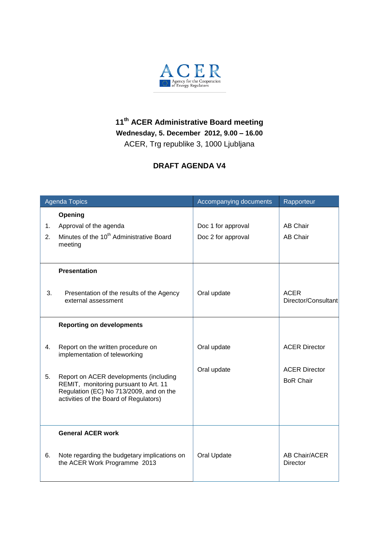

## **11 th ACER Administrative Board meeting Wednesday, 5. December 2012, 9.00 – 16.00** ACER, Trg republike 3, 1000 Ljubljana

## **DRAFT AGENDA V4**

| <b>Agenda Topics</b> |                                                                                                                                                                                                                                             | Accompanying documents     | Rapporteur                                                       |
|----------------------|---------------------------------------------------------------------------------------------------------------------------------------------------------------------------------------------------------------------------------------------|----------------------------|------------------------------------------------------------------|
|                      | Opening                                                                                                                                                                                                                                     |                            |                                                                  |
| 1.                   | Approval of the agenda                                                                                                                                                                                                                      | Doc 1 for approval         | <b>AB Chair</b>                                                  |
| 2.                   | Minutes of the 10 <sup>th</sup> Administrative Board<br>meeting                                                                                                                                                                             | Doc 2 for approval         | <b>AB Chair</b>                                                  |
|                      | <b>Presentation</b>                                                                                                                                                                                                                         |                            |                                                                  |
| 3.                   | Presentation of the results of the Agency<br>external assessment                                                                                                                                                                            | Oral update                | <b>ACER</b><br>Director/Consultant                               |
|                      | <b>Reporting on developments</b>                                                                                                                                                                                                            |                            |                                                                  |
| 4.<br>5.             | Report on the written procedure on<br>implementation of teleworking<br>Report on ACER developments (including<br>REMIT, monitoring pursuant to Art. 11<br>Regulation (EC) No 713/2009, and on the<br>activities of the Board of Regulators) | Oral update<br>Oral update | <b>ACER Director</b><br><b>ACER Director</b><br><b>BoR Chair</b> |
|                      | <b>General ACER work</b>                                                                                                                                                                                                                    |                            |                                                                  |
| 6.                   | Note regarding the budgetary implications on<br>the ACER Work Programme 2013                                                                                                                                                                | Oral Update                | AB Chair/ACER<br><b>Director</b>                                 |